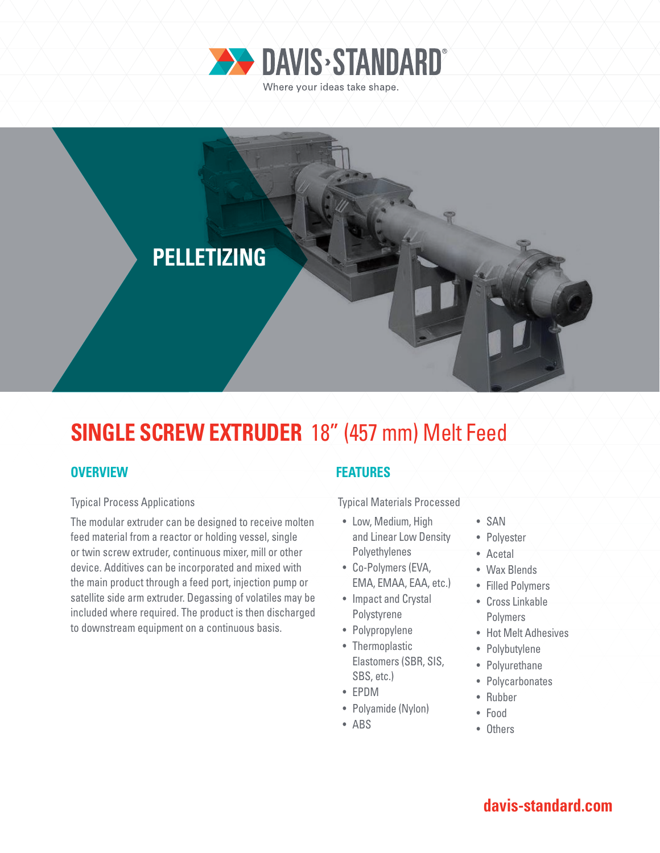



# **SINGLE SCREW EXTRUDER** 18" (457 mm) Melt Feed

## **OVERVIEW**

#### Typical Process Applications

The modular extruder can be designed to receive molten feed material from a reactor or holding vessel, single or twin screw extruder, continuous mixer, mill or other device. Additives can be incorporated and mixed with the main product through a feed port, injection pump or satellite side arm extruder. Degassing of volatiles may be included where required. The product is then discharged to downstream equipment on a continuous basis.

### **FEATURES**

Typical Materials Processed

- Low, Medium, High and Linear Low Density Polyethylenes
- Co-Polymers (EVA, EMA, EMAA, EAA, etc.)
- Impact and Crystal Polystyrene
- Polypropylene
- Thermoplastic Elastomers (SBR, SIS, SBS, etc.)
- EPDM
- Polyamide (Nylon)
- ABS
- SAN
- Polyester
- Acetal
- Wax Blends
- Filled Polymers
- Cross Linkable Polymers
- Hot Melt Adhesives
- Polybutylene
- Polyurethane
- Polycarbonates
- Rubber
- Food
- Others

## **davis-standard.com**